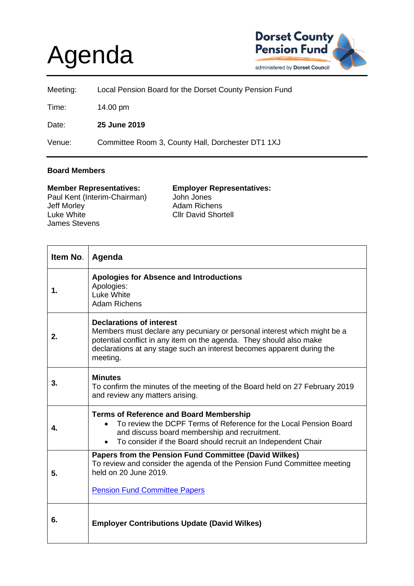## Agenda



| Meeting: | Local Pension Board for the Dorset County Pension Fund |
|----------|--------------------------------------------------------|
| Time:    | 14.00 pm                                               |
| Date:    | 25 June 2019                                           |
| Venue:   | Committee Room 3, County Hall, Dorchester DT1 1XJ      |

## **Board Members**

| <b>Member Representatives:</b> | <b>Employer Representatives:</b> |
|--------------------------------|----------------------------------|
| Paul Kent (Interim-Chairman)   | John Jones                       |
| Jeff Morley                    | Adam Richens                     |
| Luke White                     | <b>Cllr David Shortell</b>       |
| <b>James Stevens</b>           |                                  |

| Item No. | Agenda                                                                                                                                                                                                                                                                   |
|----------|--------------------------------------------------------------------------------------------------------------------------------------------------------------------------------------------------------------------------------------------------------------------------|
| 1.       | <b>Apologies for Absence and Introductions</b><br>Apologies:<br>Luke White<br><b>Adam Richens</b>                                                                                                                                                                        |
| 2.       | <b>Declarations of interest</b><br>Members must declare any pecuniary or personal interest which might be a<br>potential conflict in any item on the agenda. They should also make<br>declarations at any stage such an interest becomes apparent during the<br>meeting. |
| 3.       | <b>Minutes</b><br>To confirm the minutes of the meeting of the Board held on 27 February 2019<br>and review any matters arising.                                                                                                                                         |
| 4.       | <b>Terms of Reference and Board Membership</b><br>To review the DCPF Terms of Reference for the Local Pension Board<br>and discuss board membership and recruitment.<br>To consider if the Board should recruit an Independent Chair                                     |
| 5.       | Papers from the Pension Fund Committee (David Wilkes)<br>To review and consider the agenda of the Pension Fund Committee meeting<br>held on 20 June 2019.<br><b>Pension Fund Committee Papers</b>                                                                        |
| 6.       | <b>Employer Contributions Update (David Wilkes)</b>                                                                                                                                                                                                                      |